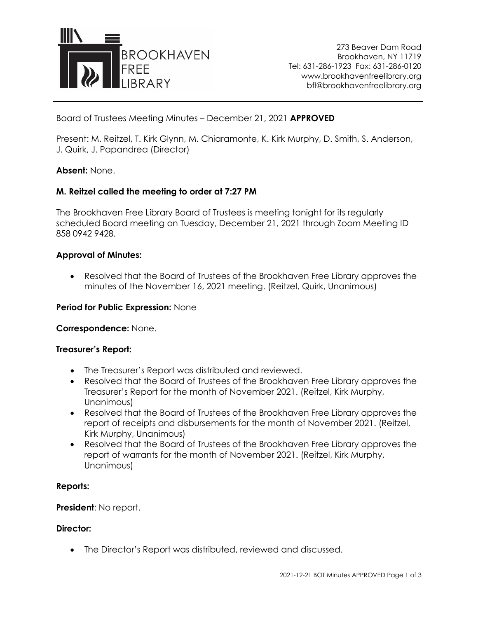

273 Beaver Dam Road Brookhaven, NY 11719 Tel: 631-286-1923 Fax: 631-286-0120 www.brookhavenfreelibrary.org bfl@brookhavenfreelibrary.org

Board of Trustees Meeting Minutes – December 21, 2021 **APPROVED**

Present: M. Reitzel, T. Kirk Glynn, M. Chiaramonte, K. Kirk Murphy, D. Smith, S. Anderson, J. Quirk, J. Papandrea (Director)

## **Absent:** None.

## **M. Reitzel called the meeting to order at 7:27 PM**

The Brookhaven Free Library Board of Trustees is meeting tonight for its regularly scheduled Board meeting on Tuesday, December 21, 2021 through Zoom Meeting ID 858 0942 9428.

### **Approval of Minutes:**

• Resolved that the Board of Trustees of the Brookhaven Free Library approves the minutes of the November 16, 2021 meeting. (Reitzel, Quirk, Unanimous)

### **Period for Public Expression:** None

**Correspondence:** None.

### **Treasurer's Report:**

- The Treasurer's Report was distributed and reviewed.
- Resolved that the Board of Trustees of the Brookhaven Free Library approves the Treasurer's Report for the month of November 2021. (Reitzel, Kirk Murphy, Unanimous)
- Resolved that the Board of Trustees of the Brookhaven Free Library approves the report of receipts and disbursements for the month of November 2021. (Reitzel, Kirk Murphy, Unanimous)
- Resolved that the Board of Trustees of the Brookhaven Free Library approves the report of warrants for the month of November 2021. (Reitzel, Kirk Murphy, Unanimous)

### **Reports:**

**President**: No report.

### **Director:**

• The Director's Report was distributed, reviewed and discussed.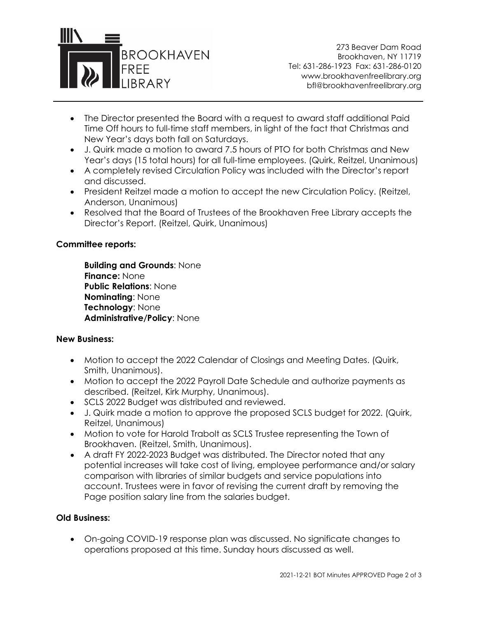

273 Beaver Dam Road Brookhaven, NY 11719 Tel: 631-286-1923 Fax: 631-286-0120 www.brookhavenfreelibrary.org bfl@brookhavenfreelibrary.org

- The Director presented the Board with a request to award staff additional Paid Time Off hours to full-time staff members, in light of the fact that Christmas and New Year's days both fall on Saturdays.
- J. Quirk made a motion to award 7.5 hours of PTO for both Christmas and New Year's days (15 total hours) for all full-time employees. (Quirk, Reitzel, Unanimous)
- A completely revised Circulation Policy was included with the Director's report and discussed.
- President Reitzel made a motion to accept the new Circulation Policy. (Reitzel, Anderson, Unanimous)
- Resolved that the Board of Trustees of the Brookhaven Free Library accepts the Director's Report. (Reitzel, Quirk, Unanimous)

# **Committee reports:**

**Building and Grounds**: None **Finance:** None **Public Relations**: None **Nominating**: None **Technology**: None **Administrative/Policy**: None

# **New Business:**

- Motion to accept the 2022 Calendar of Closings and Meeting Dates. (Quirk, Smith, Unanimous).
- Motion to accept the 2022 Payroll Date Schedule and authorize payments as described. (Reitzel, Kirk Murphy, Unanimous).
- SCLS 2022 Budget was distributed and reviewed.
- J. Quirk made a motion to approve the proposed SCLS budget for 2022. (Quirk, Reitzel, Unanimous)
- Motion to vote for Harold Trabolt as SCLS Trustee representing the Town of Brookhaven. (Reitzel, Smith, Unanimous).
- A draft FY 2022-2023 Budget was distributed. The Director noted that any potential increases will take cost of living, employee performance and/or salary comparison with libraries of similar budgets and service populations into account. Trustees were in favor of revising the current draft by removing the Page position salary line from the salaries budget.

# **Old Business:**

• On-going COVID-19 response plan was discussed. No significate changes to operations proposed at this time. Sunday hours discussed as well.